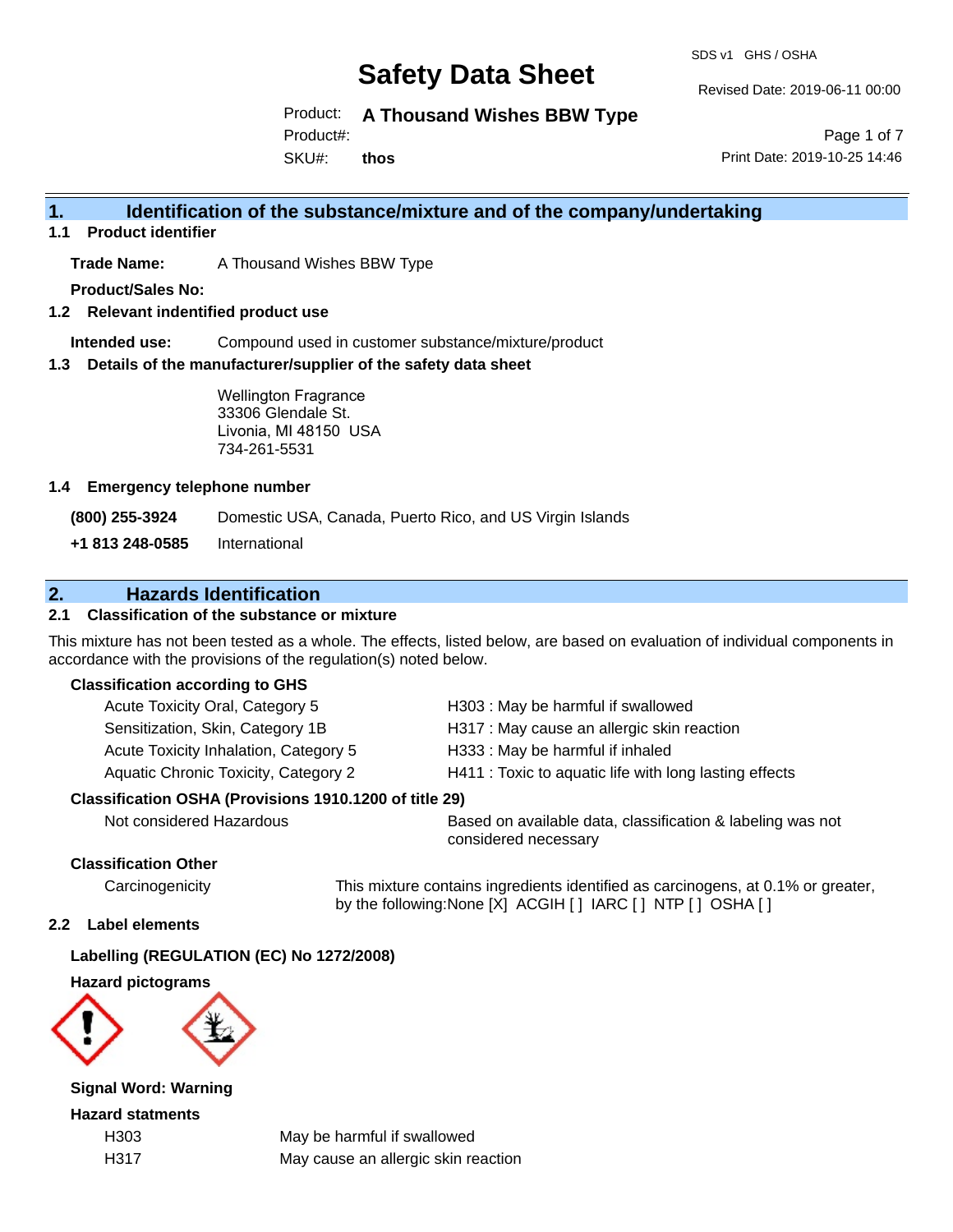SDS v1 GHS / OSHA

Revised Date: 2019-06-11 00:00

Product: **A Thousand Wishes BBW Type**

Product#:

SKU#: **thos**

Page 1 of 7 Print Date: 2019-10-25 14:46

# **1. Identification of the substance/mixture and of the company/undertaking**

**1.1 Product identifier**

**Trade Name:** A Thousand Wishes BBW Type

**Product/Sales No:**

**1.2 Relevant indentified product use**

**Intended use:** Compound used in customer substance/mixture/product

**1.3 Details of the manufacturer/supplier of the safety data sheet**

Wellington Fragrance 33306 Glendale St. Livonia, MI 48150 USA 734-261-5531

#### **1.4 Emergency telephone number**

**(800) 255-3924** Domestic USA, Canada, Puerto Rico, and US Virgin Islands

**+1 813 248-0585** International

# **2. Hazards Identification**

#### **2.1 Classification of the substance or mixture**

This mixture has not been tested as a whole. The effects, listed below, are based on evaluation of individual components in accordance with the provisions of the regulation(s) noted below.

#### **Classification according to GHS**

| Acute Toxicity Oral, Category 5       | H303: May be harmful if swallowed                      |
|---------------------------------------|--------------------------------------------------------|
| Sensitization, Skin, Category 1B      | H317 : May cause an allergic skin reaction             |
| Acute Toxicity Inhalation, Category 5 | H333: May be harmful if inhaled                        |
| Aquatic Chronic Toxicity, Category 2  | H411 : Toxic to aquatic life with long lasting effects |
|                                       |                                                        |

#### **Classification OSHA (Provisions 1910.1200 of title 29)**

Not considered Hazardous Based on available data, classification & labeling was not considered necessary

#### **Classification Other**

Carcinogenicity This mixture contains ingredients identified as carcinogens, at 0.1% or greater, by the following:None [X] ACGIH [ ] IARC [ ] NTP [ ] OSHA [ ]

#### **2.2 Label elements**

### **Labelling (REGULATION (EC) No 1272/2008)**

**Hazard pictograms**



**Signal Word: Warning**

**Hazard statments**

H303 May be harmful if swallowed H317 May cause an allergic skin reaction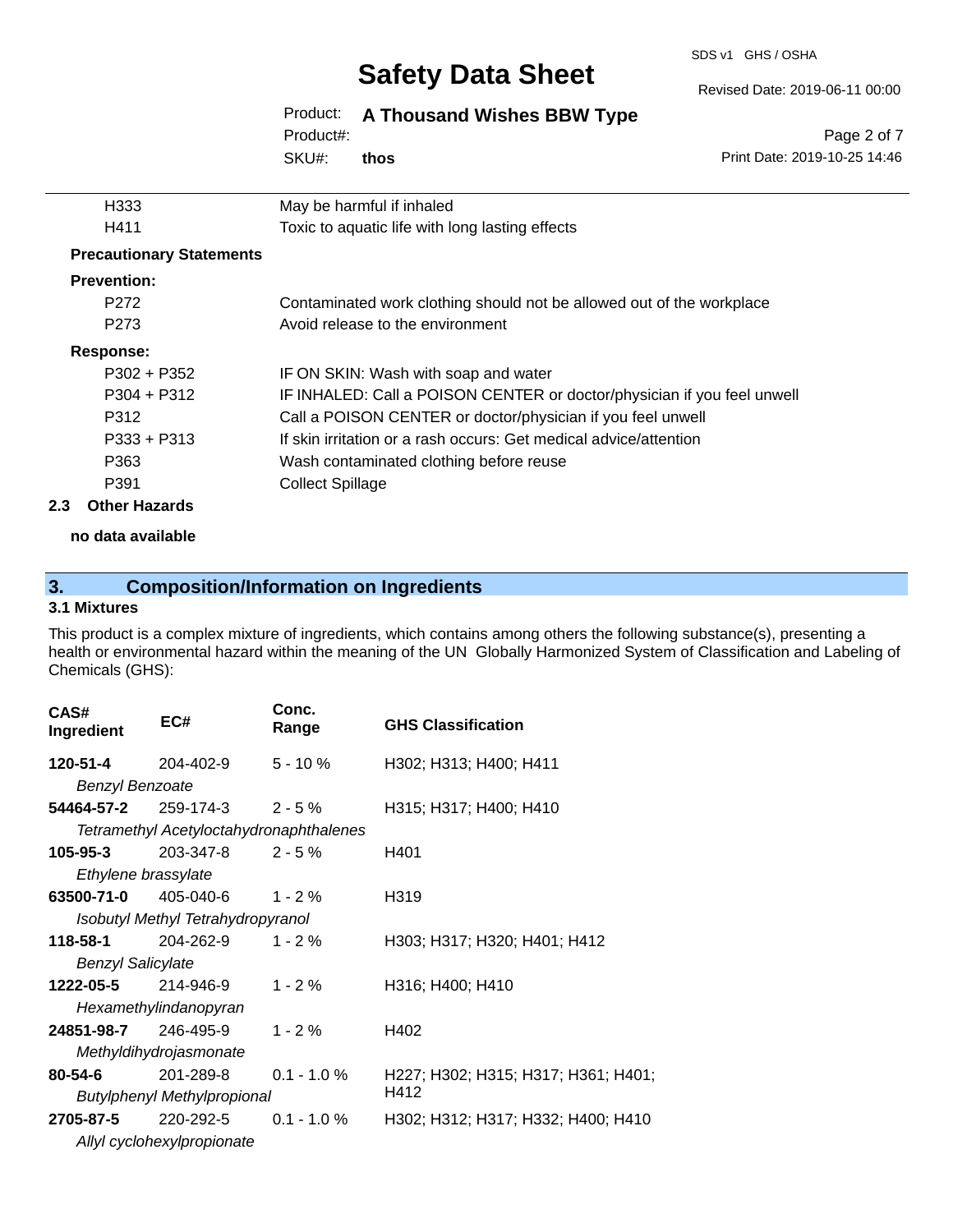#### SDS v1 GHS / OSHA

# **Safety Data Sheet**

#### Revised Date: 2019-06-11 00:00

# Product: **A Thousand Wishes BBW Type**

SKU#: Product#: **thos**

Page 2 of 7 Print Date: 2019-10-25 14:46

|     | H333                            | May be harmful if inhaled                                               |
|-----|---------------------------------|-------------------------------------------------------------------------|
|     | H411                            | Toxic to aquatic life with long lasting effects                         |
|     | <b>Precautionary Statements</b> |                                                                         |
|     | <b>Prevention:</b>              |                                                                         |
|     | P <sub>272</sub>                | Contaminated work clothing should not be allowed out of the workplace   |
|     | P <sub>273</sub>                | Avoid release to the environment                                        |
|     | <b>Response:</b>                |                                                                         |
|     | $P302 + P352$                   | IF ON SKIN: Wash with soap and water                                    |
|     | $P304 + P312$                   | IF INHALED: Call a POISON CENTER or doctor/physician if you feel unwell |
|     | P312                            | Call a POISON CENTER or doctor/physician if you feel unwell             |
|     | $P333 + P313$                   | If skin irritation or a rash occurs: Get medical advice/attention       |
|     | P363                            | Wash contaminated clothing before reuse                                 |
|     | P391                            | <b>Collect Spillage</b>                                                 |
| 2.3 | <b>Other Hazards</b>            |                                                                         |
|     |                                 |                                                                         |

**no data available**

# **3. Composition/Information on Ingredients**

### **3.1 Mixtures**

This product is a complex mixture of ingredients, which contains among others the following substance(s), presenting a health or environmental hazard within the meaning of the UN Globally Harmonized System of Classification and Labeling of Chemicals (GHS):

| CAS#<br><b>Ingredient</b>  | EC#                                     | Conc.<br>Range | <b>GHS Classification</b>           |
|----------------------------|-----------------------------------------|----------------|-------------------------------------|
| 120-51-4                   | 204-402-9                               | $5 - 10 \%$    | H302; H313; H400; H411              |
| <b>Benzyl Benzoate</b>     |                                         |                |                                     |
|                            | 54464-57-2 $259-174-3$ 2-5%             |                | H315; H317; H400; H410              |
|                            | Tetramethyl Acetyloctahydronaphthalenes |                |                                     |
| 105-95-3                   | 203-347-8                               | $2 - 5 \%$     | H401                                |
| Ethylene brassylate        |                                         |                |                                     |
|                            | <b>63500-71-0</b> 405-040-6             | $1 - 2 \%$     | H319                                |
|                            | Isobutyl Methyl Tetrahydropyranol       |                |                                     |
| 118-58-1                   | 204-262-9                               | $1 - 2%$       | H303; H317; H320; H401; H412        |
| <b>Benzyl Salicylate</b>   |                                         |                |                                     |
| <b>1222-05-5</b> 214-946-9 |                                         | $1 - 2 \%$     | H316; H400; H410                    |
|                            | Hexamethylindanopyran                   |                |                                     |
| 24851-98-7 246-495-9       |                                         | $1 - 2 \%$     | H402                                |
|                            | Methyldihydrojasmonate                  |                |                                     |
| $80 - 54 - 6$              | 201-289-8                               | $0.1 - 1.0 %$  | H227; H302; H315; H317; H361; H401; |
|                            | <b>Butylphenyl Methylpropional</b>      |                | H412                                |
| <b>2705-87-5</b> 220-292-5 |                                         | $0.1 - 1.0 \%$ | H302; H312; H317; H332; H400; H410  |
|                            | Allyl cyclohexylpropionate              |                |                                     |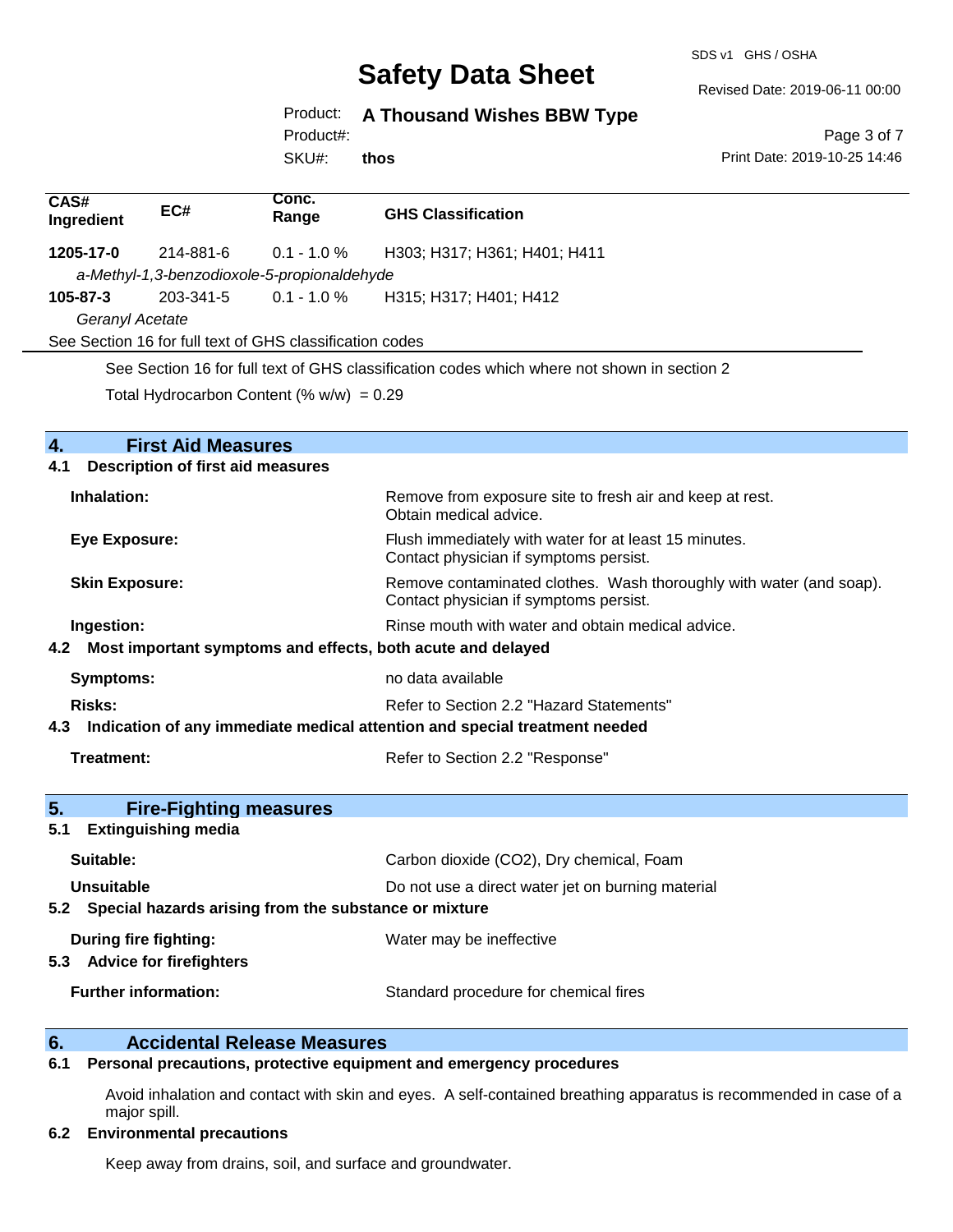SDS v1 GHS / OSHA

Revised Date: 2019-06-11 00:00

Product: **A Thousand Wishes BBW Type**

Product#:

SKU#: **thos**

Page 3 of 7 Print Date: 2019-10-25 14:46

| CAS#<br>Ingredient                                              | EC#                                      | Conc.<br>Range                                           | <b>GHS Classification</b>                                                                                     |
|-----------------------------------------------------------------|------------------------------------------|----------------------------------------------------------|---------------------------------------------------------------------------------------------------------------|
| 1205-17-0                                                       | 214-881-6                                | $0.1 - 1.0 %$                                            | H303; H317; H361; H401; H411                                                                                  |
|                                                                 |                                          | a-Methyl-1,3-benzodioxole-5-propionaldehyde              |                                                                                                               |
| 105-87-3                                                        | 203-341-5                                | $0.1 - 1.0 \%$                                           | H315; H317; H401; H412                                                                                        |
| Geranyl Acetate                                                 |                                          |                                                          |                                                                                                               |
|                                                                 |                                          | See Section 16 for full text of GHS classification codes |                                                                                                               |
|                                                                 |                                          |                                                          | See Section 16 for full text of GHS classification codes which where not shown in section 2                   |
|                                                                 |                                          | Total Hydrocarbon Content (% $w/w$ ) = 0.29              |                                                                                                               |
|                                                                 |                                          |                                                          |                                                                                                               |
| $\mathbf{A}_{\cdot}$                                            | <b>First Aid Measures</b>                |                                                          |                                                                                                               |
| 4.1                                                             | <b>Description of first aid measures</b> |                                                          |                                                                                                               |
| Inhalation:                                                     |                                          |                                                          | Remove from exposure site to fresh air and keep at rest.<br>Obtain medical advice.                            |
| <b>Eye Exposure:</b>                                            |                                          |                                                          | Flush immediately with water for at least 15 minutes.<br>Contact physician if symptoms persist.               |
| <b>Skin Exposure:</b>                                           |                                          |                                                          | Remove contaminated clothes. Wash thoroughly with water (and soap).<br>Contact physician if symptoms persist. |
| Ingestion:                                                      |                                          |                                                          | Rinse mouth with water and obtain medical advice.                                                             |
| 4.2 Most important symptoms and effects, both acute and delayed |                                          |                                                          |                                                                                                               |
| <b>Symptoms:</b>                                                |                                          |                                                          | no data available                                                                                             |
| <b>Risks:</b>                                                   |                                          |                                                          | Refer to Section 2.2 "Hazard Statements"                                                                      |
| 4.3                                                             |                                          |                                                          | Indication of any immediate medical attention and special treatment needed                                    |
|                                                                 |                                          |                                                          |                                                                                                               |
| Treatment:                                                      |                                          |                                                          | Refer to Section 2.2 "Response"                                                                               |

| 5 <sub>1</sub><br><b>Fire-Fighting measures</b>                |                                                   |
|----------------------------------------------------------------|---------------------------------------------------|
| <b>Extinguishing media</b><br>5.1                              |                                                   |
| Suitable:                                                      | Carbon dioxide (CO2), Dry chemical, Foam          |
| Unsuitable                                                     | Do not use a direct water jet on burning material |
| Special hazards arising from the substance or mixture<br>5.2   |                                                   |
| During fire fighting:<br><b>Advice for firefighters</b><br>5.3 | Water may be ineffective                          |
| <b>Further information:</b>                                    | Standard procedure for chemical fires             |

# **6. Calcidental Release Measures**<br>**6.1** Personal precautions, protective equipm

#### **6.1 Personal precautions, protective equipment and emergency procedures**

Avoid inhalation and contact with skin and eyes. A self-contained breathing apparatus is recommended in case of a major spill.

#### **6.2 Environmental precautions**

Keep away from drains, soil, and surface and groundwater.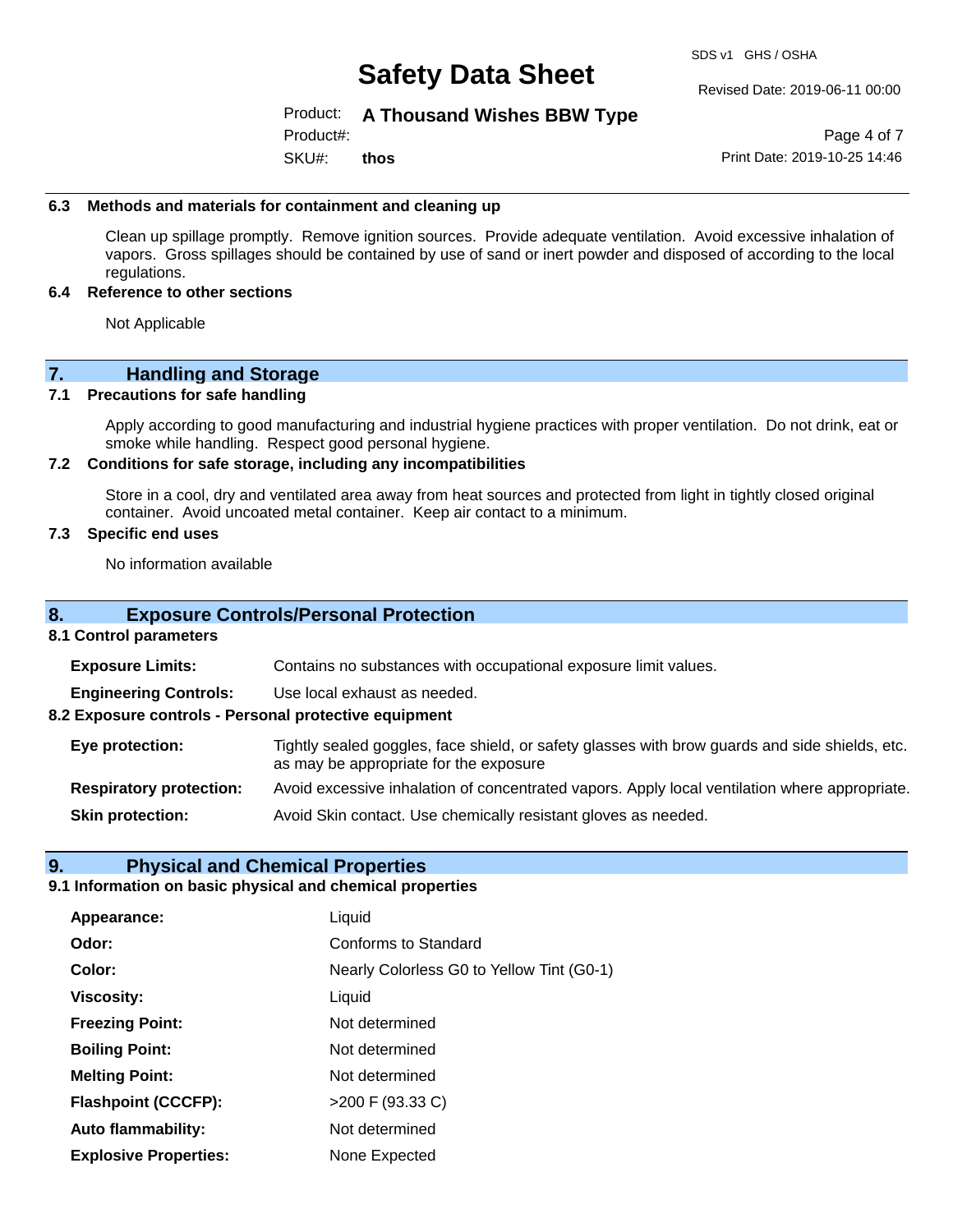SDS v1 GHS / OSHA

#### Revised Date: 2019-06-11 00:00

#### Product: **A Thousand Wishes BBW Type**

SKU#: Product#: **thos**

Page 4 of 7 Print Date: 2019-10-25 14:46

#### **6.3 Methods and materials for containment and cleaning up**

Clean up spillage promptly. Remove ignition sources. Provide adequate ventilation. Avoid excessive inhalation of vapors. Gross spillages should be contained by use of sand or inert powder and disposed of according to the local regulations.

#### **6.4 Reference to other sections**

Not Applicable

### **7. Handling and Storage**

#### **7.1 Precautions for safe handling**

Apply according to good manufacturing and industrial hygiene practices with proper ventilation. Do not drink, eat or smoke while handling. Respect good personal hygiene.

#### **7.2 Conditions for safe storage, including any incompatibilities**

Store in a cool, dry and ventilated area away from heat sources and protected from light in tightly closed original container. Avoid uncoated metal container. Keep air contact to a minimum.

#### **7.3 Specific end uses**

No information available

#### **8. Exposure Controls/Personal Protection**

#### **8.1 Control parameters**

**Exposure Limits:** Contains no substances with occupational exposure limit values.

**Engineering Controls:** Use local exhaust as needed.

**8.2 Exposure controls - Personal protective equipment**

**Eye protection:** Tightly sealed goggles, face shield, or safety glasses with brow guards and side shields, etc. as may be appropriate for the exposure

**Respiratory protection:** Avoid excessive inhalation of concentrated vapors. Apply local ventilation where appropriate.

**Skin protection:** Avoid Skin contact. Use chemically resistant gloves as needed.

#### **9. Physical and Chemical Properties**

### **9.1 Information on basic physical and chemical properties**

| Appearance:                  | Liquid                                    |
|------------------------------|-------------------------------------------|
| Odor:                        | <b>Conforms to Standard</b>               |
| Color:                       | Nearly Colorless G0 to Yellow Tint (G0-1) |
| <b>Viscosity:</b>            | Liquid                                    |
| <b>Freezing Point:</b>       | Not determined                            |
| <b>Boiling Point:</b>        | Not determined                            |
| <b>Melting Point:</b>        | Not determined                            |
| <b>Flashpoint (CCCFP):</b>   | >200 F (93.33 C)                          |
| <b>Auto flammability:</b>    | Not determined                            |
| <b>Explosive Properties:</b> | None Expected                             |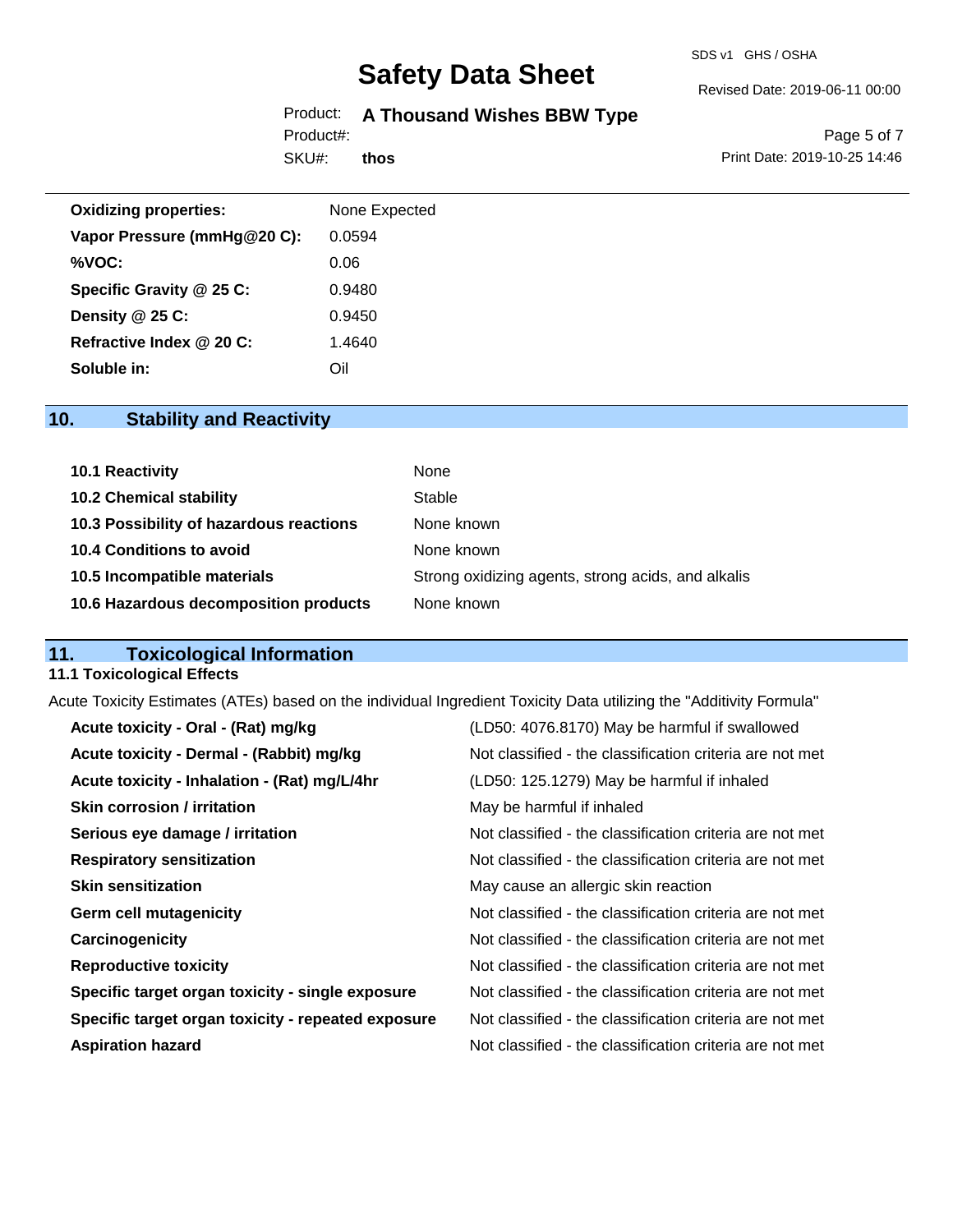#### SDS v1 GHS / OSHA

# **Safety Data Sheet**

# Product: **A Thousand Wishes BBW Type**

SKU#: Product#:

**thos**

Revised Date: 2019-06-11 00:00

Page 5 of 7 Print Date: 2019-10-25 14:46

| <b>Oxidizing properties:</b> | None Expected |
|------------------------------|---------------|
| Vapor Pressure (mmHg@20 C):  | 0.0594        |
| %VOC:                        | 0.06          |
| Specific Gravity @ 25 C:     | 0.9480        |
| Density @ 25 C:              | 0.9450        |
| Refractive Index @ 20 C:     | 1.4640        |
| Soluble in:                  | Oil           |

# **10. Stability and Reactivity**

| 10.1 Reactivity                         | None                                               |
|-----------------------------------------|----------------------------------------------------|
| <b>10.2 Chemical stability</b>          | Stable                                             |
| 10.3 Possibility of hazardous reactions | None known                                         |
| 10.4 Conditions to avoid                | None known                                         |
| 10.5 Incompatible materials             | Strong oxidizing agents, strong acids, and alkalis |
| 10.6 Hazardous decomposition products   | None known                                         |

# **11. Toxicological Information**

#### **11.1 Toxicological Effects**

Acute Toxicity Estimates (ATEs) based on the individual Ingredient Toxicity Data utilizing the "Additivity Formula"

| Acute toxicity - Oral - (Rat) mg/kg                | (LD50: 4076.8170) May be harmful if swallowed            |
|----------------------------------------------------|----------------------------------------------------------|
| Acute toxicity - Dermal - (Rabbit) mg/kg           | Not classified - the classification criteria are not met |
| Acute toxicity - Inhalation - (Rat) mg/L/4hr       | (LD50: 125.1279) May be harmful if inhaled               |
| <b>Skin corrosion / irritation</b>                 | May be harmful if inhaled                                |
| Serious eye damage / irritation                    | Not classified - the classification criteria are not met |
| <b>Respiratory sensitization</b>                   | Not classified - the classification criteria are not met |
| <b>Skin sensitization</b>                          | May cause an allergic skin reaction                      |
| <b>Germ cell mutagenicity</b>                      | Not classified - the classification criteria are not met |
| Carcinogenicity                                    | Not classified - the classification criteria are not met |
| <b>Reproductive toxicity</b>                       | Not classified - the classification criteria are not met |
| Specific target organ toxicity - single exposure   | Not classified - the classification criteria are not met |
| Specific target organ toxicity - repeated exposure | Not classified - the classification criteria are not met |
| <b>Aspiration hazard</b>                           | Not classified - the classification criteria are not met |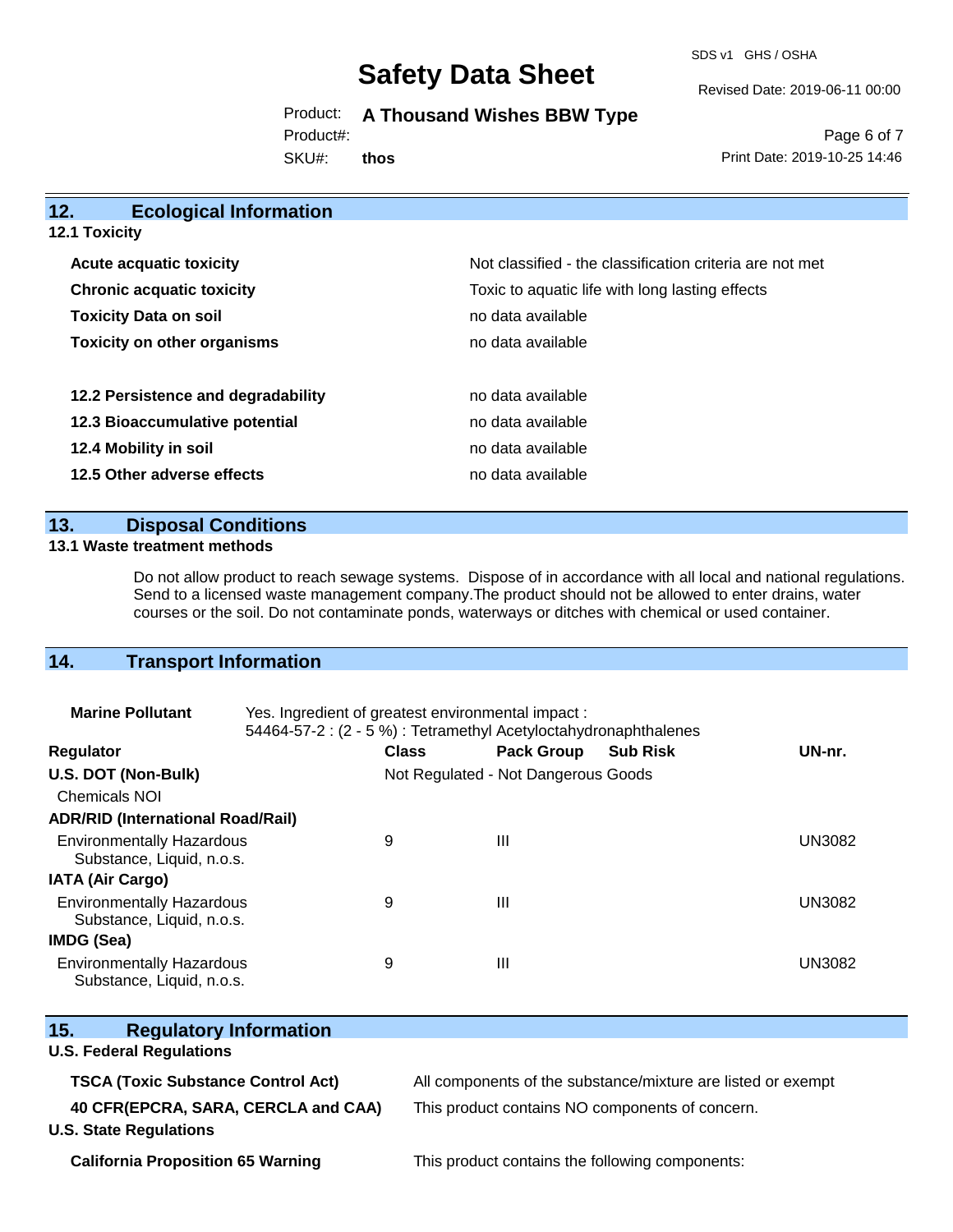SDS v1 GHS / OSHA

Revised Date: 2019-06-11 00:00

Product: **A Thousand Wishes BBW Type**

Product#:

SKU#: **thos**

Page 6 of 7 Print Date: 2019-10-25 14:46

| 12.<br><b>Ecological Information</b>                                                |                                                          |
|-------------------------------------------------------------------------------------|----------------------------------------------------------|
| <b>12.1 Toxicity</b>                                                                |                                                          |
| <b>Acute acquatic toxicity</b>                                                      | Not classified - the classification criteria are not met |
| Toxic to aquatic life with long lasting effects<br><b>Chronic acquatic toxicity</b> |                                                          |
| <b>Toxicity Data on soil</b>                                                        | no data available                                        |
| <b>Toxicity on other organisms</b>                                                  | no data available                                        |
| 12.2 Persistence and degradability                                                  | no data available                                        |
| 12.3 Bioaccumulative potential                                                      | no data available                                        |
| 12.4 Mobility in soil                                                               | no data available                                        |
| 12.5 Other adverse effects                                                          | no data available                                        |

### **13. Disposal Conditions**

#### **13.1 Waste treatment methods**

Do not allow product to reach sewage systems. Dispose of in accordance with all local and national regulations. Send to a licensed waste management company.The product should not be allowed to enter drains, water courses or the soil. Do not contaminate ponds, waterways or ditches with chemical or used container.

# **14. Transport Information**

| <b>Marine Pollutant</b>                                       | Yes. Ingredient of greatest environmental impact:<br>54464-57-2 : (2 - 5 %) : Tetramethyl Acetyloctahydronaphthalenes |                                     |                   |                 |               |
|---------------------------------------------------------------|-----------------------------------------------------------------------------------------------------------------------|-------------------------------------|-------------------|-----------------|---------------|
| <b>Regulator</b>                                              |                                                                                                                       | <b>Class</b>                        | <b>Pack Group</b> | <b>Sub Risk</b> | UN-nr.        |
| U.S. DOT (Non-Bulk)                                           |                                                                                                                       | Not Regulated - Not Dangerous Goods |                   |                 |               |
| <b>Chemicals NOI</b>                                          |                                                                                                                       |                                     |                   |                 |               |
| <b>ADR/RID (International Road/Rail)</b>                      |                                                                                                                       |                                     |                   |                 |               |
| <b>Environmentally Hazardous</b><br>Substance, Liquid, n.o.s. |                                                                                                                       | 9                                   | Ш                 |                 | <b>UN3082</b> |
| <b>IATA (Air Cargo)</b>                                       |                                                                                                                       |                                     |                   |                 |               |
| <b>Environmentally Hazardous</b><br>Substance, Liquid, n.o.s. |                                                                                                                       | 9                                   | Ш                 |                 | UN3082        |
| <b>IMDG (Sea)</b>                                             |                                                                                                                       |                                     |                   |                 |               |
| <b>Environmentally Hazardous</b><br>Substance, Liquid, n.o.s. |                                                                                                                       | 9                                   | Ш                 |                 | <b>UN3082</b> |

| 15.<br><b>Regulatory Information</b>                                 |                                                              |
|----------------------------------------------------------------------|--------------------------------------------------------------|
| <b>U.S. Federal Regulations</b>                                      |                                                              |
| <b>TSCA (Toxic Substance Control Act)</b>                            | All components of the substance/mixture are listed or exempt |
| 40 CFR(EPCRA, SARA, CERCLA and CAA)<br><b>U.S. State Regulations</b> | This product contains NO components of concern.              |

**California Proposition 65 Warning This product contains the following components:**